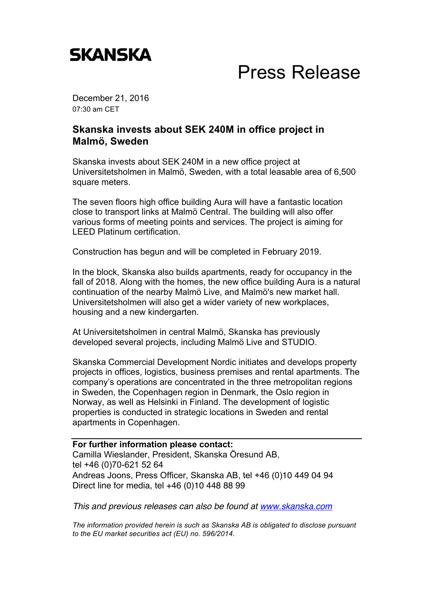

## Press Release

December 21, 2016 07:30 am CET

## **Skanska invests about SEK 240M in office project in Malmö, Sweden**

Skanska invests about SEK 240M in a new office project at Universitetsholmen in Malmö, Sweden, with a total leasable area of 6,500 square meters.

The seven floors high office building Aura will have a fantastic location close to transport links at Malmö Central. The building will also offer various forms of meeting points and services. The project is aiming for LEED Platinum certification.

Construction has begun and will be completed in February 2019.

In the block, Skanska also builds apartments, ready for occupancy in the fall of 2018. Along with the homes, the new office building Aura is a natural continuation of the nearby Malmö Live, and Malmö's new market hall. Universitetsholmen will also get a wider variety of new workplaces, housing and a new kindergarten.

At Universitetsholmen in central Malmö, Skanska has previously developed several projects, including Malmö Live and STUDIO.

Skanska Commercial Development Nordic initiates and develops property projects in offices, logistics, business premises and rental apartments. The company's operations are concentrated in the three metropolitan regions in Sweden, the Copenhagen region in Denmark, the Oslo region in Norway, as well as Helsinki in Finland. The development of logistic properties is conducted in strategic locations in Sweden and rental apartments in Copenhagen.

## **For further information please contact:** Camilla Wieslander, President, Skanska Öresund AB, tel +46 (0)70-621 52 64 Andreas Joons, Press Officer, Skanska AB, tel +46 (0)10 449 04 94 Direct line for media, tel +46 (0)10 448 88 99

*This and previous releases can also be found at www.skanska.com*

*The information provided herein is such as Skanska AB is obligated to disclose pursuant to the EU market securities act (EU) no. 596/2014.*